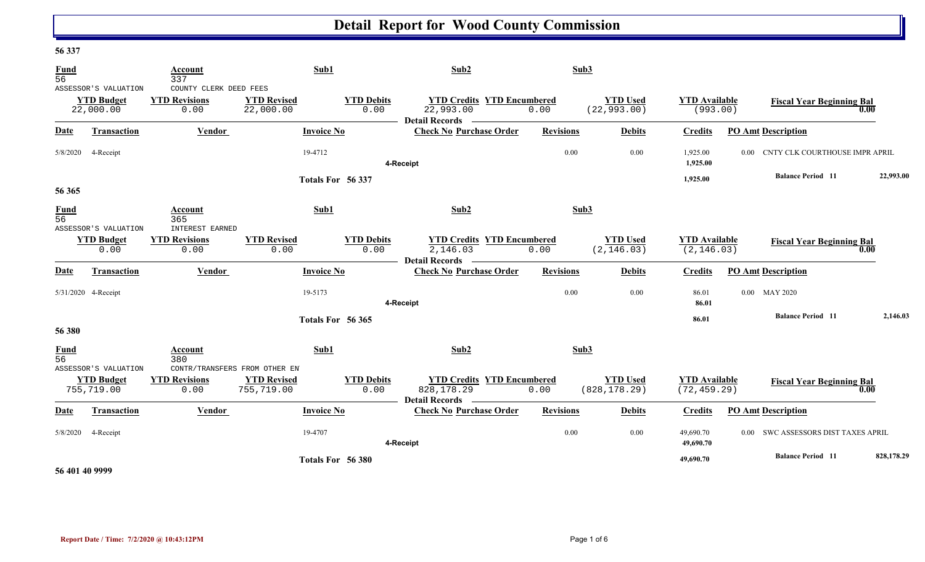### **56 337**

| $\frac{Fund}{56}$ |                                 | Account<br>337                                   |                                  | Sub1                      | Sub2                                                                       | Sub3             |                                  |                                      |                                                     |            |
|-------------------|---------------------------------|--------------------------------------------------|----------------------------------|---------------------------|----------------------------------------------------------------------------|------------------|----------------------------------|--------------------------------------|-----------------------------------------------------|------------|
|                   | ASSESSOR'S VALUATION            | COUNTY CLERK DEED FEES                           |                                  |                           |                                                                            |                  |                                  |                                      |                                                     |            |
|                   | <b>YTD Budget</b><br>22,000.00  | <b>YTD Revisions</b><br>0.00                     | <b>YTD Revised</b><br>22,000.00  | <b>YTD Debits</b><br>0.00 | <b>YTD Credits YTD Encumbered</b><br>22,993.00<br>Detail Records —         | 0.00             | <b>YTD Used</b><br>(22, 993.00)  | <b>YTD Available</b><br>(993.00)     | <b>Fiscal Year Beginning Bal</b>                    | 0.00       |
| <b>Date</b>       | Transaction                     | Vendor                                           |                                  | <b>Invoice No</b>         | <b>Check No Purchase Order</b>                                             | <b>Revisions</b> | <b>Debits</b>                    | <b>Credits</b>                       | <b>PO Amt Description</b>                           |            |
| 5/8/2020          | 4-Receipt                       |                                                  |                                  | 19-4712                   | 4-Receipt                                                                  | 0.00             | 0.00                             | 1,925.00<br>1,925.00                 | CNTY CLK COURTHOUSE IMPR APRIL<br>$0.00 -$          |            |
| 56 365            |                                 |                                                  |                                  | Totals For 56 337         |                                                                            |                  |                                  | 1,925.00                             | <b>Balance Period</b> 11                            | 22,993.00  |
| $\frac{Fund}{56}$ | ASSESSOR'S VALUATION            | Account<br>365<br><b>INTEREST EARNED</b>         |                                  | Sub1                      | Sub2                                                                       | Sub3             |                                  |                                      |                                                     |            |
|                   | <b>YTD Budget</b><br>0.00       | <b>YTD Revisions</b><br>0.00                     | <b>YTD Revised</b><br>0.00       | <b>YTD Debits</b><br>0.00 | <b>YTD Credits YTD Encumbered</b><br>2,146.03<br>Detail Records —          | 0.00             | <b>YTD Used</b><br>(2, 146.03)   | <b>YTD</b> Available<br>(2, 146.03)  | <b>Fiscal Year Beginning Bal</b>                    | 0.00       |
| Date              | <b>Transaction</b>              | Vendor                                           |                                  | <b>Invoice No</b>         | <b>Check No Purchase Order</b>                                             | <b>Revisions</b> | <b>Debits</b>                    | <b>Credits</b>                       | <b>PO Amt Description</b>                           |            |
|                   | 5/31/2020 4-Receipt             |                                                  |                                  | 19-5173                   | 4-Receipt                                                                  | 0.00             | 0.00                             | 86.01<br>86.01                       | $0.00$ MAY 2020                                     |            |
| 56 380            |                                 |                                                  |                                  | Totals For 56 365         |                                                                            |                  |                                  | 86.01                                | <b>Balance Period 11</b>                            | 2,146.03   |
| $\frac{Fund}{56}$ | ASSESSOR'S VALUATION            | Account<br>380<br>CONTR/TRANSFERS FROM OTHER EN' |                                  | Sub1                      | Sub2                                                                       | Sub3             |                                  |                                      |                                                     |            |
|                   | <b>YTD Budget</b><br>755,719.00 | <b>YTD Revisions</b><br>0.00                     | <b>YTD Revised</b><br>755,719.00 | <b>YTD Debits</b><br>0.00 | <b>YTD Credits YTD Encumbered</b><br>828, 178. 29<br><b>Detail Records</b> | 0.00             | <b>YTD Used</b><br>(828, 178.29) | <b>YTD</b> Available<br>(72, 459.29) | <b>Fiscal Year Beginning Bal</b>                    | 0.00       |
| <b>Date</b>       | Transaction                     | Vendor                                           |                                  | <b>Invoice No</b>         | <b>Check No Purchase Order</b>                                             | <b>Revisions</b> | <b>Debits</b>                    | <b>Credits</b>                       | <b>PO Amt Description</b>                           |            |
| 5/8/2020          | 4-Receipt                       |                                                  |                                  | 19-4707                   | 4-Receipt                                                                  | 0.00             | 0.00                             | 49,690.70<br>49,690.70               | SWC ASSESSORS DIST TAXES APRIL<br>0.00 <sub>1</sub> |            |
|                   |                                 |                                                  |                                  | Totals For 56 380         |                                                                            |                  |                                  | 49,690.70                            | <b>Balance Period 11</b>                            | 828,178.29 |

**56 401 40 9999**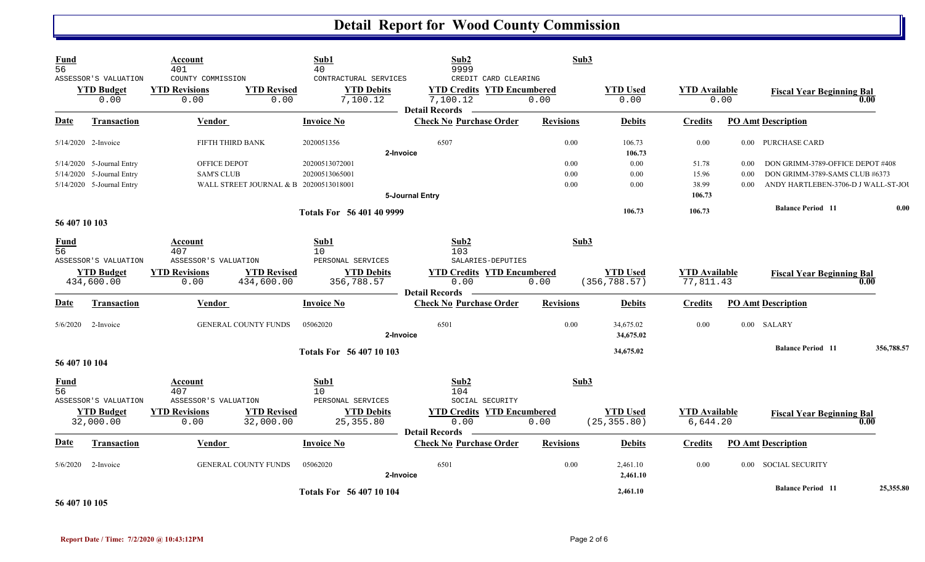| <b>Fund</b><br>$\overline{56}$ |                                                                                     | Account<br>401                                                              |                                  | Sub1<br>40                                             | Sub2<br>9999                                                                                                          | Sub3                 |                                  |                                   |                      |                                                                                                           |            |
|--------------------------------|-------------------------------------------------------------------------------------|-----------------------------------------------------------------------------|----------------------------------|--------------------------------------------------------|-----------------------------------------------------------------------------------------------------------------------|----------------------|----------------------------------|-----------------------------------|----------------------|-----------------------------------------------------------------------------------------------------------|------------|
|                                | ASSESSOR'S VALUATION<br><b>YTD</b> Budget<br>0.00                                   | COUNTY COMMISSION<br><b>YTD Revisions</b><br>0.00                           | <b>YTD Revised</b><br>0.00       | CONTRACTURAL SERVICES<br><b>YTD Debits</b><br>7,100.12 | CREDIT CARD CLEARING<br><b>YTD Credits YTD Encumbered</b><br>$7,100.\overline{12}$<br><b>Detail Records</b><br>$\sim$ | 0.00                 | <b>YTD Used</b><br>0.00          | <b>YTD</b> Available              | 0.00                 | <b>Fiscal Year Beginning Bal</b>                                                                          | 0.00       |
| Date                           | Transaction                                                                         | Vendor                                                                      |                                  | <b>Invoice No</b>                                      | <b>Check No Purchase Order</b>                                                                                        | <b>Revisions</b>     | <b>Debits</b>                    | <b>Credits</b>                    |                      | <b>PO Amt Description</b>                                                                                 |            |
|                                | 5/14/2020 2-Invoice                                                                 | FIFTH THIRD BANK                                                            |                                  | 2020051356                                             | 6507<br>2-Invoice                                                                                                     | 0.00                 | 106.73<br>106.73                 | 0.00                              |                      | 0.00 PURCHASE CARD                                                                                        |            |
|                                | 5/14/2020 5-Journal Entry<br>5/14/2020 5-Journal Entry<br>5/14/2020 5-Journal Entry | OFFICE DEPOT<br><b>SAM'S CLUB</b><br>WALL STREET JOURNAL & B 20200513018001 |                                  | 20200513072001<br>20200513065001                       | <b>5-Journal Entry</b>                                                                                                | 0.00<br>0.00<br>0.00 | 0.00<br>0.00<br>0.00             | 51.78<br>15.96<br>38.99<br>106.73 | 0.00<br>0.00<br>0.00 | DON GRIMM-3789-OFFICE DEPOT #408<br>DON GRIMM-3789-SAMS CLUB #6373<br>ANDY HARTLEBEN-3706-D J WALL-ST-JOU |            |
| 56 407 10 103                  |                                                                                     |                                                                             |                                  | Totals For 56 401 40 9999                              |                                                                                                                       |                      | 106.73                           | 106.73                            |                      | <b>Balance Period 11</b>                                                                                  | 0.00       |
| <b>Fund</b><br>56              |                                                                                     | Account<br>407                                                              |                                  | Sub1<br>10                                             | Sub2<br>103                                                                                                           | Sub3                 |                                  |                                   |                      |                                                                                                           |            |
|                                | ASSESSOR'S VALUATION<br><b>YTD Budget</b><br>434,600.00                             | ASSESSOR'S VALUATION<br><b>YTD Revisions</b><br>0.00                        | <b>YTD Revised</b><br>434,600.00 | PERSONAL SERVICES<br><b>YTD Debits</b><br>356,788.57   | SALARIES-DEPUTIES<br><b>YTD Credits YTD Encumbered</b><br>0.00<br><b>Detail Records</b>                               | 0.00                 | <b>YTD Used</b><br>(356, 788.57) | <b>YTD</b> Available<br>77,811.43 |                      | <b>Fiscal Year Beginning Bal</b>                                                                          | 0.00       |
| Date                           | <b>Transaction</b>                                                                  | Vendor                                                                      |                                  | <b>Invoice No</b>                                      | <b>Check No Purchase Order</b>                                                                                        | <b>Revisions</b>     | <b>Debits</b>                    | <b>Credits</b>                    |                      | <b>PO Amt Description</b>                                                                                 |            |
| 5/6/2020                       | 2-Invoice                                                                           | <b>GENERAL COUNTY FUNDS</b>                                                 |                                  | 05062020                                               | 6501<br>2-Invoice                                                                                                     | 0.00                 | 34,675.02<br>34,675.02           | 0.00                              |                      | 0.00 SALARY                                                                                               |            |
| 56 407 10 104                  |                                                                                     |                                                                             |                                  | Totals For 56 407 10 103                               |                                                                                                                       |                      | 34,675.02                        |                                   |                      | <b>Balance Period 11</b>                                                                                  | 356,788.57 |
| <b>Fund</b><br>$\overline{56}$ | ASSESSOR'S VALUATION                                                                | Account<br>407<br>ASSESSOR'S VALUATION                                      |                                  | Sub1<br>10<br>PERSONAL SERVICES                        | Sub2<br>104<br>SOCIAL SECURITY                                                                                        | Sub3                 |                                  |                                   |                      |                                                                                                           |            |
|                                | <b>YTD Budget</b><br>32,000.00                                                      | <b>YTD Revisions</b><br>0.00                                                | <b>YTD Revised</b><br>32,000.00  | <b>YTD Debits</b><br>25, 355.80                        | <b>YTD Credits YTD Encumbered</b><br>0.00<br><b>Detail Records</b>                                                    | 0.00                 | <b>YTD Used</b><br>(25, 355.80)  | <b>YTD</b> Available<br>6,644.20  |                      | <b>Fiscal Year Beginning Bal</b>                                                                          | 0.00       |
| Date                           | <b>Transaction</b>                                                                  | Vendor                                                                      |                                  | <b>Invoice No</b>                                      | <b>Check No Purchase Order</b>                                                                                        | <b>Revisions</b>     | <b>Debits</b>                    | <b>Credits</b>                    |                      | <b>PO Amt Description</b>                                                                                 |            |
| 5/6/2020                       | 2-Invoice                                                                           | GENERAL COUNTY FUNDS                                                        |                                  | 05062020                                               | 6501<br>2-Invoice                                                                                                     | 0.00                 | 2,461.10<br>2,461.10             | 0.00                              | $0.00\,$             | <b>SOCIAL SECURITY</b>                                                                                    |            |
| 56 407 10 105                  |                                                                                     |                                                                             |                                  | Totals For 56 407 10 104                               |                                                                                                                       |                      | 2,461.10                         |                                   |                      | <b>Balance Period</b> 11                                                                                  | 25,355.80  |

U,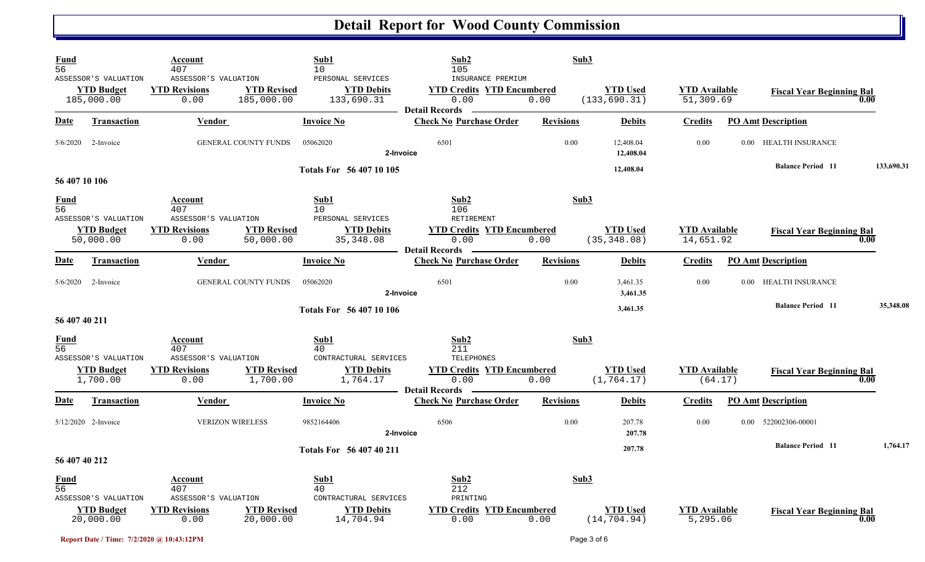| $\frac{Fund}{56}$              |                                                         | Account<br>407                                                                | Sub1<br>10                                                                                               | Sub2<br>105                                                                             | Sub3             |                                  |                                   |                                       |            |  |
|--------------------------------|---------------------------------------------------------|-------------------------------------------------------------------------------|----------------------------------------------------------------------------------------------------------|-----------------------------------------------------------------------------------------|------------------|----------------------------------|-----------------------------------|---------------------------------------|------------|--|
|                                | ASSESSOR'S VALUATION<br><b>YTD Budget</b><br>185,000.00 | ASSESSOR'S VALUATION<br><b>YTD Revisions</b><br>0.00<br>185,000.00            | PERSONAL SERVICES<br><b>YTD Revised</b><br><b>YTD Debits</b><br>133,690.31                               | INSURANCE PREMIUM<br><b>YTD Credits YTD Encumbered</b><br>0.00<br><b>Detail Records</b> | 0.00             | <b>YTD Used</b><br>(133, 690.31) | <b>YTD Available</b><br>51,309.69 | <b>Fiscal Year Beginning Bal</b>      | 0.00       |  |
| Date                           | <b>Transaction</b>                                      | <b>Vendor</b>                                                                 | <b>Invoice No</b>                                                                                        | <b>Check No Purchase Order</b>                                                          | <b>Revisions</b> | <b>Debits</b>                    | <b>Credits</b>                    | <b>PO Amt Description</b>             |            |  |
| 5/6/2020                       | 2-Invoice                                               | <b>GENERAL COUNTY FUNDS</b>                                                   | 05062020                                                                                                 | 6501<br>2-Invoice                                                                       | 0.00             | 12,408.04<br>12,408.04           | 0.00                              | 0.00 HEALTH INSURANCE                 |            |  |
| 56 407 10 106                  |                                                         |                                                                               | <b>Totals For 56 407 10 105</b>                                                                          |                                                                                         |                  | 12,408.04                        |                                   | <b>Balance Period</b> 11              | 133,690.31 |  |
| <b>Fund</b><br>$\overline{56}$ | ASSESSOR'S VALUATION                                    | Account<br>407<br>ASSESSOR'S VALUATION                                        | Sub1<br>10<br>PERSONAL SERVICES                                                                          | Sub2<br>106<br>RETIREMENT                                                               | Sub3             |                                  |                                   |                                       |            |  |
|                                | <b>YTD Budget</b><br>50,000.00                          | <b>YTD Revisions</b><br>0.00<br>50,000.00                                     | <b>YTD Revised</b><br><b>YTD Debits</b><br>35, 348.08                                                    | <b>YTD Credits YTD Encumbered</b><br>0.00<br><b>Detail Records</b>                      | 0.00             | <b>YTD Used</b><br>(35, 348.08)  | <b>YTD Available</b><br>14,651.92 | <b>Fiscal Year Beginning Bal</b>      | 0.00       |  |
| Date                           | <b>Transaction</b>                                      | Vendor                                                                        | <b>Invoice No</b>                                                                                        | <b>Check No Purchase Order</b>                                                          | <b>Revisions</b> | <b>Debits</b>                    | <b>Credits</b>                    | <b>PO Amt Description</b>             |            |  |
| 5/6/2020                       | 2-Invoice                                               | GENERAL COUNTY FUNDS                                                          | 05062020                                                                                                 | 6501<br>2-Invoice                                                                       | 0.00             | 3,461.35<br>3,461.35             | 0.00                              | HEALTH INSURANCE<br>0.00 <sub>1</sub> |            |  |
| 56 407 40 211                  |                                                         |                                                                               | Totals For 56 407 10 106                                                                                 |                                                                                         |                  | 3,461.35                         |                                   | <b>Balance Period</b> 11              | 35,348.08  |  |
| <b>Fund</b><br>$\overline{56}$ |                                                         | Account<br>407                                                                | Sub1<br>40                                                                                               | Sub2<br>211                                                                             | Sub3             |                                  |                                   |                                       |            |  |
|                                | ASSESSOR'S VALUATION<br><b>YTD Budget</b><br>1,700.00   | ASSESSOR'S VALUATION<br><b>YTD Revisions</b><br>0.00                          | CONTRACTURAL SERVICES<br><b>YTD Revised</b><br><b>YTD Debits</b><br>1,700.00<br>1,764.17                 | TELEPHONES<br><b>YTD Credits YTD Encumbered</b><br>0.00                                 | 0.00             | <b>YTD Used</b><br>(1, 764.17)   | <b>YTD</b> Available<br>(64.17)   | <b>Fiscal Year Beginning Bal</b>      | 0.00       |  |
| <b>Date</b>                    | <b>Transaction</b>                                      | Vendor                                                                        | <b>Invoice No</b>                                                                                        | <b>Detail Records</b><br><b>Check No Purchase Order</b>                                 | <b>Revisions</b> | <b>Debits</b>                    | <b>Credits</b>                    | <b>PO Amt Description</b>             |            |  |
| $5/12/2020$ 2-Invoice          |                                                         | <b>VERIZON WIRELESS</b>                                                       | 9852164406                                                                                               | 6506<br>2-Invoice                                                                       | 0.00             | 207.78<br>207.78                 | 0.00                              | 522002306-00001<br>$0.00\,$           |            |  |
| 56 407 40 212                  |                                                         |                                                                               | Totals For 56 407 40 211                                                                                 |                                                                                         |                  | 207.78                           |                                   | <b>Balance Period</b> 11              | 1,764.17   |  |
| $\frac{Fund}{56}$              | ASSESSOR'S VALUATION<br><b>YTD Budget</b><br>20,000.00  | <b>Account</b><br>407<br>ASSESSOR'S VALUATION<br><b>YTD Revisions</b><br>0.00 | Sub1<br>40<br>CONTRACTURAL SERVICES<br><b>YTD Revised</b><br><b>YTD Debits</b><br>20,000.00<br>14,704.94 | Sub2<br>212<br>PRINTING<br><b>YTD Credits YTD Encumbered</b><br>0.00                    | Sub3<br>0.00     | <b>YTD Used</b><br>(14, 704.94)  | <b>YTD Available</b><br>5,295.06  | <b>Fiscal Year Beginning Bal</b>      | 0.00       |  |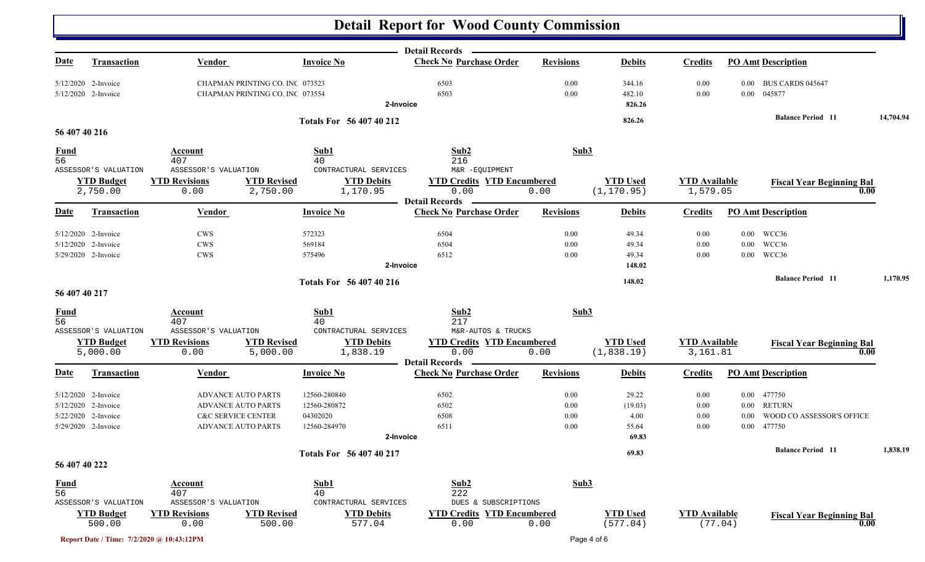|                       |                               |                               |                                 |                                 | Detail Records ______                     |                  |                                |                                  |          |                                          |           |
|-----------------------|-------------------------------|-------------------------------|---------------------------------|---------------------------------|-------------------------------------------|------------------|--------------------------------|----------------------------------|----------|------------------------------------------|-----------|
| Date                  | <b>Transaction</b>            | Vendor                        |                                 | <b>Invoice No</b>               | <b>Check No Purchase Order</b>            | <b>Revisions</b> | <b>Debits</b>                  | <b>Credits</b>                   |          | <b>PO Amt Description</b>                |           |
|                       | $5/12/2020$ 2-Invoice         |                               | CHAPMAN PRINTING CO. INC 073523 |                                 | 6503                                      | 0.00             | 344.16                         | 0.00                             |          | 0.00 BUS CARDS 045647                    |           |
| 5/12/2020 2-Invoice   |                               |                               | CHAPMAN PRINTING CO. INC 073554 |                                 | 6503                                      | 0.00             | 482.10                         | 0.00                             | 0.00     | 045877                                   |           |
|                       |                               |                               |                                 | 2-Invoice                       |                                           |                  | 826.26                         |                                  |          |                                          |           |
|                       |                               |                               |                                 | <b>Totals For 56 407 40 212</b> |                                           |                  | 826.26                         |                                  |          | <b>Balance Period</b> 11                 | 14,704.94 |
| 56 407 40 216         |                               |                               |                                 |                                 |                                           |                  |                                |                                  |          |                                          |           |
| $\frac{Fund}{56}$     |                               | Account                       |                                 | Sub1                            | Sub2                                      | Sub3             |                                |                                  |          |                                          |           |
|                       | ASSESSOR'S VALUATION          | 407<br>ASSESSOR'S VALUATION   |                                 | 40<br>CONTRACTURAL SERVICES     | 216<br>M&R -EQUIPMENT                     |                  |                                |                                  |          |                                          |           |
|                       | <b>YTD Budget</b>             | <b>YTD Revisions</b>          | <b>YTD Revised</b>              | <b>YTD Debits</b>               | <b>YTD Credits YTD Encumbered</b>         |                  | <b>YTD Used</b>                | <b>YTD Available</b>             |          |                                          |           |
|                       | 2,750.00                      | 0.00                          | 2,750.00                        | 1,170.95                        | 0.00                                      | 0.00             | (1, 170.95)                    | 1,579.05                         |          | <b>Fiscal Year Beginning Bal</b><br>0.00 |           |
|                       |                               |                               |                                 |                                 | <b>Detail Records</b>                     |                  |                                |                                  |          |                                          |           |
| <u>Date</u>           | <b>Transaction</b>            | Vendor                        |                                 | <b>Invoice No</b>               | <b>Check No Purchase Order</b>            | <b>Revisions</b> | <b>Debits</b>                  | <b>Credits</b>                   |          | <b>PO Amt Description</b>                |           |
| $5/12/2020$ 2-Invoice |                               | <b>CWS</b>                    |                                 | 572323                          | 6504                                      | 0.00             | 49.34                          | 0.00                             |          | 0.00 WCC36                               |           |
|                       | 5/12/2020 2-Invoice           | <b>CWS</b>                    |                                 | 569184                          | 6504                                      | 0.00             | 49.34                          | 0.00                             | $0.00\,$ | WCC36                                    |           |
|                       | 5/29/2020 2-Invoice           | <b>CWS</b>                    |                                 | 575496                          | 6512                                      | 0.00             | 49.34                          | 0.00                             | $0.00\,$ | WCC36                                    |           |
|                       |                               |                               |                                 | 2-Invoice                       |                                           |                  | 148.02                         |                                  |          |                                          |           |
|                       |                               |                               |                                 | Totals For 56 407 40 216        |                                           |                  | 148.02                         |                                  |          | <b>Balance Period</b> 11                 | 1,170.95  |
| 56 407 40 217         |                               |                               |                                 |                                 |                                           |                  |                                |                                  |          |                                          |           |
| $\frac{Fund}{56}$     |                               | Account                       |                                 | Sub1                            | Sub2                                      | Sub3             |                                |                                  |          |                                          |           |
|                       |                               | 407                           |                                 | 40                              | 217                                       |                  |                                |                                  |          |                                          |           |
|                       | ASSESSOR'S VALUATION          | ASSESSOR'S VALUATION          |                                 | CONTRACTURAL SERVICES           | M&R-AUTOS & TRUCKS                        |                  |                                |                                  |          |                                          |           |
|                       | <b>YTD Budget</b><br>5,000.00 | <b>YTD Revisions</b><br>0.00  | <b>YTD Revised</b><br>5,000.00  | <b>YTD Debits</b><br>1,838.19   | <b>YTD Credits YTD Encumbered</b><br>0.00 | 0.00             | <b>YTD Used</b><br>(1, 838.19) | <b>YTD Available</b><br>3,161.81 |          | <b>Fiscal Year Beginning Bal</b><br>0.00 |           |
|                       |                               |                               |                                 |                                 | <b>Detail Records</b>                     |                  |                                |                                  |          |                                          |           |
| <b>Date</b>           | <b>Transaction</b>            | <b>Vendor</b>                 |                                 | <b>Invoice No</b>               | <b>Check No Purchase Order</b>            | <b>Revisions</b> | <b>Debits</b>                  | <b>Credits</b>                   |          | <b>PO Amt Description</b>                |           |
| $5/12/2020$ 2-Invoice |                               | <b>ADVANCE AUTO PARTS</b>     |                                 | 12560-280840                    | 6502                                      | 0.00             | 29.22                          | 0.00                             | $0.00\,$ | 477750                                   |           |
|                       | 5/12/2020 2-Invoice           | <b>ADVANCE AUTO PARTS</b>     |                                 | 12560-280872                    | 6502                                      | 0.00             | (19.03)                        | 0.00                             | $0.00\,$ | <b>RETURN</b>                            |           |
| 5/22/2020 2-Invoice   |                               | <b>C&amp;C SERVICE CENTER</b> |                                 | 04302020                        | 6508                                      | 0.00             | 4.00                           | 0.00                             | $0.00\,$ | WOOD CO ASSESSOR'S OFFICE                |           |
| 5/29/2020 2-Invoice   |                               | <b>ADVANCE AUTO PARTS</b>     |                                 | 12560-284970                    | 6511                                      | 0.00             | 55.64                          | 0.00                             | $0.00\,$ | 477750                                   |           |
|                       |                               |                               |                                 | 2-Invoice                       |                                           |                  | 69.83                          |                                  |          |                                          |           |
|                       |                               |                               |                                 | Totals For 56 407 40 217        |                                           |                  | 69.83                          |                                  |          | <b>Balance Period</b> 11                 | 1,838.19  |
| 56 407 40 222         |                               |                               |                                 |                                 |                                           |                  |                                |                                  |          |                                          |           |
|                       |                               | <b>Account</b>                |                                 | Sub1                            | Sub2                                      | Sub3             |                                |                                  |          |                                          |           |
| $\frac{Fund}{56}$     |                               | 407                           |                                 | 40                              | 222                                       |                  |                                |                                  |          |                                          |           |
|                       | ASSESSOR'S VALUATION          | ASSESSOR'S VALUATION          |                                 | CONTRACTURAL SERVICES           | DUES & SUBSCRIPTIONS                      |                  |                                |                                  |          |                                          |           |
|                       | <b>YTD Budget</b><br>500.00   | <b>YTD Revisions</b><br>0.00  | <b>YTD Revised</b><br>500.00    | <b>YTD Debits</b><br>577.04     | <b>YTD Credits YTD Encumbered</b><br>0.00 | 0.00             | <b>YTD Used</b><br>(577.04)    | <b>YTD Available</b><br>(77.04)  |          | <b>Fiscal Year Beginning Bal</b><br>0.00 |           |
|                       |                               |                               |                                 |                                 |                                           |                  |                                |                                  |          |                                          |           |

**Report Date / Time: 7/2/2020 @ 10:43:12PM** Page 4 of 6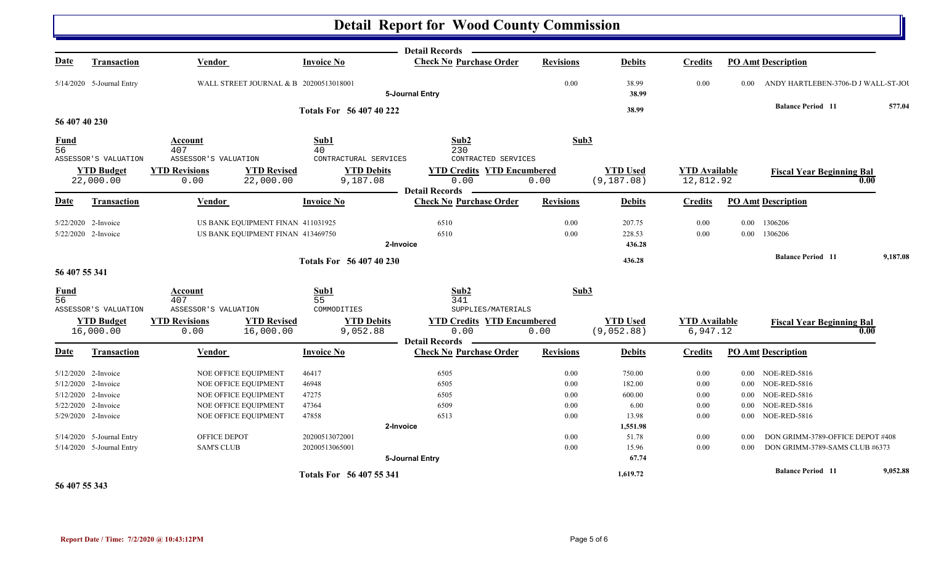|                   |                                           |                                              |                                        |                                            | <b>Detail Records</b>                                    |                  |                 |                      |          |                                     |          |
|-------------------|-------------------------------------------|----------------------------------------------|----------------------------------------|--------------------------------------------|----------------------------------------------------------|------------------|-----------------|----------------------|----------|-------------------------------------|----------|
| <b>Date</b>       | <b>Transaction</b>                        | Vendor                                       |                                        | <b>Invoice No</b>                          | <b>Check No Purchase Order</b>                           | <b>Revisions</b> | <b>Debits</b>   | <b>Credits</b>       |          | <b>PO Amt Description</b>           |          |
|                   | 5/14/2020 5-Journal Entry                 |                                              | WALL STREET JOURNAL & B 20200513018001 |                                            | 5-Journal Entry                                          | 0.00             | 38.99<br>38.99  | 0.00                 | $0.00\,$ | ANDY HARTLEBEN-3706-D J WALL-ST-JOU |          |
|                   |                                           |                                              |                                        | Totals For 56 407 40 222                   |                                                          |                  | 38.99           |                      |          | <b>Balance Period</b> 11            | 577.04   |
| 56 407 40 230     |                                           |                                              |                                        |                                            |                                                          |                  |                 |                      |          |                                     |          |
| $\frac{Fund}{56}$ |                                           | Account<br>407                               |                                        | Sub1<br>40                                 | Sub2<br>230                                              |                  | Sub3            |                      |          |                                     |          |
|                   | ASSESSOR'S VALUATION<br><b>YTD Budget</b> | ASSESSOR'S VALUATION<br><b>YTD Revisions</b> | <b>YTD Revised</b>                     | CONTRACTURAL SERVICES<br><b>YTD Debits</b> | CONTRACTED SERVICES<br><b>YTD Credits YTD Encumbered</b> |                  | <b>YTD Used</b> | <b>YTD</b> Available |          |                                     |          |
|                   | 22,000.00                                 | 0.00                                         | 22,000.00                              | 9,187.08                                   | 0.00                                                     | 0.00             | (9, 187.08)     | 12,812.92            |          | <b>Fiscal Year Beginning Bal</b>    | 0.00     |
|                   |                                           |                                              |                                        |                                            | <b>Detail Records</b>                                    |                  |                 |                      |          |                                     |          |
| <b>Date</b>       | <b>Transaction</b>                        | Vendor                                       |                                        | <b>Invoice No</b>                          | <b>Check No Purchase Order</b>                           | <b>Revisions</b> | <b>Debits</b>   | <b>Credits</b>       |          | <b>PO Amt Description</b>           |          |
|                   | 5/22/2020 2-Invoice                       |                                              | US BANK EQUIPMENT FINAN 411031925      |                                            | 6510                                                     | 0.00             | 207.75          | 0.00                 |          | 0.00 1306206                        |          |
|                   | 5/22/2020 2-Invoice                       |                                              | US BANK EQUIPMENT FINAN 413469750      |                                            | 6510                                                     | 0.00             | 228.53          | 0.00                 |          | 0.00 1306206                        |          |
|                   |                                           |                                              |                                        |                                            | 2-Invoice                                                |                  | 436.28          |                      |          |                                     |          |
|                   |                                           |                                              |                                        | Totals For 56 407 40 230                   |                                                          |                  | 436.28          |                      |          | <b>Balance Period 11</b>            | 9,187.08 |
| 56 407 55 341     |                                           |                                              |                                        |                                            |                                                          |                  |                 |                      |          |                                     |          |
| <b>Fund</b>       |                                           | Account                                      |                                        | Sub1                                       | Sub2                                                     |                  | Sub3            |                      |          |                                     |          |
| $\overline{56}$   | ASSESSOR'S VALUATION                      | 407<br>ASSESSOR'S VALUATION                  |                                        | 55<br>COMMODITIES                          | 341<br>SUPPLIES/MATERIALS                                |                  |                 |                      |          |                                     |          |
|                   | <b>YTD Budget</b>                         | <b>YTD Revisions</b>                         | <b>YTD Revised</b>                     | <b>YTD Debits</b>                          | <b>YTD Credits YTD Encumbered</b>                        |                  | <b>YTD Used</b> | <b>YTD Available</b> |          | <b>Fiscal Year Beginning Bal</b>    |          |
|                   | 16,000.00                                 | 0.00                                         | 16,000.00                              | 9,052.88                                   | 0.00                                                     | 0.00             | (9,052.88)      | 6,947.12             |          |                                     | 0.00     |
|                   |                                           |                                              |                                        |                                            | Detail Records —                                         |                  |                 |                      |          |                                     |          |
| <b>Date</b>       | <b>Transaction</b>                        | Vendor                                       |                                        | <b>Invoice No</b>                          | <b>Check No Purchase Order</b>                           | <b>Revisions</b> | <b>Debits</b>   | <b>Credits</b>       |          | <b>PO Amt Description</b>           |          |
|                   | 5/12/2020 2-Invoice                       |                                              | NOE OFFICE EQUIPMENT                   | 46417                                      | 6505                                                     | 0.00             | 750.00          | 0.00                 |          | 0.00 NOE-RED-5816                   |          |
|                   | 5/12/2020 2-Invoice                       |                                              | NOE OFFICE EQUIPMENT                   | 46948                                      | 6505                                                     | 0.00             | 182.00          | 0.00                 |          | 0.00 NOE-RED-5816                   |          |
|                   | 5/12/2020 2-Invoice                       |                                              | NOE OFFICE EQUIPMENT                   | 47275                                      | 6505                                                     | 0.00             | 600.00          | 0.00                 |          | 0.00 NOE-RED-5816                   |          |
|                   | 5/22/2020 2-Invoice                       |                                              | NOE OFFICE EQUIPMENT                   | 47364                                      | 6509                                                     | 0.00             | 6.00            | 0.00                 |          | 0.00 NOE-RED-5816                   |          |
|                   | 5/29/2020 2-Invoice                       |                                              | NOE OFFICE EQUIPMENT                   | 47858                                      | 6513                                                     | 0.00             | 13.98           | 0.00                 |          | 0.00 NOE-RED-5816                   |          |
|                   |                                           |                                              |                                        |                                            | 2-Invoice                                                |                  | 1,551.98        |                      |          |                                     |          |
|                   | 5/14/2020 5-Journal Entry                 | OFFICE DEPOT                                 |                                        | 20200513072001                             |                                                          | 0.00             | 51.78           | 0.00                 | 0.00     | DON GRIMM-3789-OFFICE DEPOT #408    |          |
|                   | 5/14/2020 5-Journal Entry                 | <b>SAM'S CLUB</b>                            |                                        | 20200513065001                             |                                                          | 0.00             | 15.96           | 0.00                 | $0.00\,$ | DON GRIMM-3789-SAMS CLUB #6373      |          |
|                   |                                           |                                              |                                        |                                            | 5-Journal Entry                                          |                  | 67.74           |                      |          |                                     |          |
|                   |                                           |                                              |                                        | Totals For 56 407 55 341                   |                                                          |                  | 1,619.72        |                      |          | <b>Balance Period 11</b>            | 9,052.88 |
| 56 407 55 343     |                                           |                                              |                                        |                                            |                                                          |                  |                 |                      |          |                                     |          |

**Report Date / Time: 7/2/2020 @ 10:43:12PM** Page 5 of 6